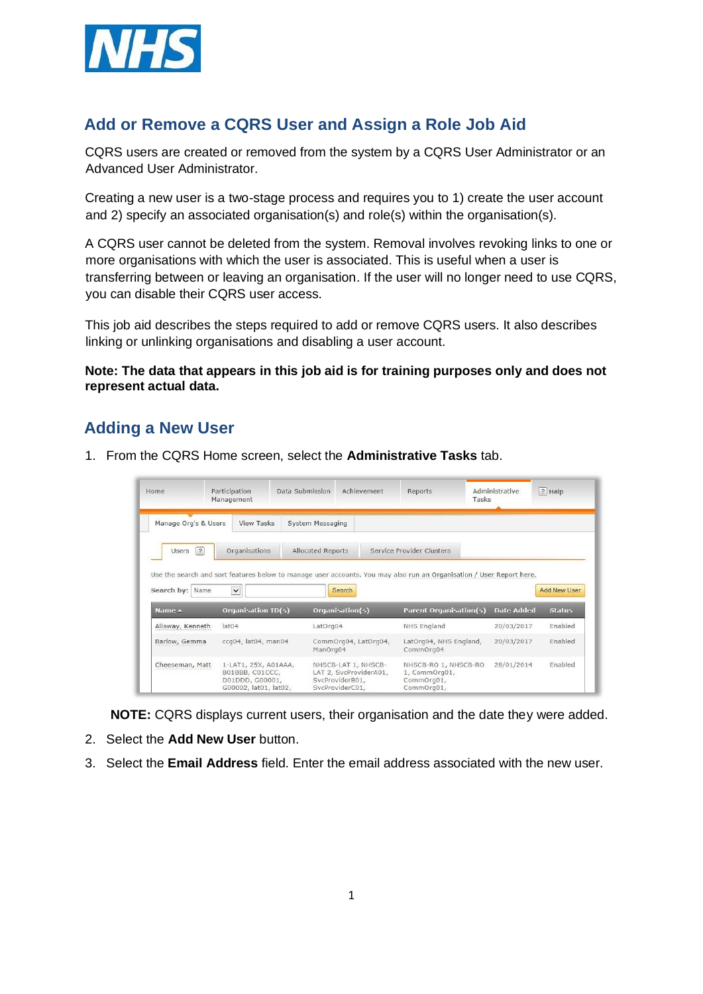

## **Add or Remove a CQRS User and Assign a Role Job Aid**

CQRS users are created or removed from the system by a CQRS User Administrator or an Advanced User Administrator.

Creating a new user is a two-stage process and requires you to 1) create the user account and 2) specify an associated organisation(s) and role(s) within the organisation(s).

A CQRS user cannot be deleted from the system. Removal involves revoking links to one or more organisations with which the user is associated. This is useful when a user is transferring between or leaving an organisation. If the user will no longer need to use CQRS, you can disable their CQRS user access.

This job aid describes the steps required to add or remove CQRS users. It also describes linking or unlinking organisations and disabling a user account.

**Note: The data that appears in this job aid is for training purposes only and does not represent actual data.** 

### **Adding a New User**

1. From the CQRS Home screen, select the **Administrative Tasks** tab.

| Home                                                                | Participation<br>Management              | Data Submission   | Achievement               | Reports                                                                                                                                               | Administrative<br>Tasks | $ ? $ Help                     |
|---------------------------------------------------------------------|------------------------------------------|-------------------|---------------------------|-------------------------------------------------------------------------------------------------------------------------------------------------------|-------------------------|--------------------------------|
| Manage Org's & Users                                                | View Tasks                               | System Messaging  |                           |                                                                                                                                                       |                         |                                |
| $\sqrt{2}$<br>Users                                                 | Organisations                            | Allocated Reports |                           | Service Provider Clusters                                                                                                                             |                         |                                |
|                                                                     |                                          |                   |                           |                                                                                                                                                       |                         |                                |
| Name                                                                | $\check{~}$<br><b>Organisation ID(s)</b> |                   | Search<br>Organisation(s) | Use the search and sort features below to manage user accounts. You may also run an Organisation / User Report here.<br><b>Parent Organisation(s)</b> | <b>Date Added</b>       | <b>Status</b>                  |
|                                                                     | lat <sub>04</sub>                        | LatOrg04          |                           | NHS England                                                                                                                                           | 20/03/2017              | <b>Add New User</b><br>Fnabled |
| Search by:<br>Name $\triangle$<br>Alloway, Kenneth<br>Barlow, Gemma | ccq04, lat04, man04                      | ManOrg04          | CommOrg04, LatOrg04,      | LatOrg04, NHS England,<br>CommOrg04                                                                                                                   | 20/03/2017              | Enabled                        |

**NOTE:** CQRS displays current users, their organisation and the date they were added.

- 2. Select the **Add New User** button.
- 3. Select the **Email Address** field. Enter the email address associated with the new user.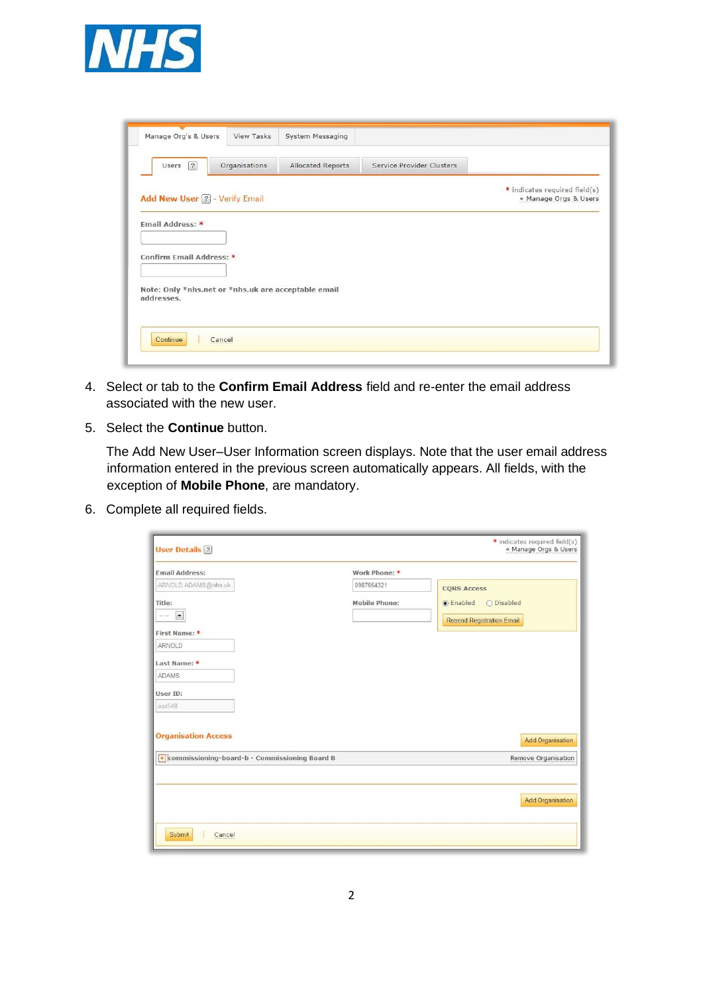

| Manage Org's & Users                   | View Tasks                                          | System Messaging  |                           |                                                        |
|----------------------------------------|-----------------------------------------------------|-------------------|---------------------------|--------------------------------------------------------|
| Users $\sqrt{?}$                       | Organisations                                       | Allocated Reports | Service Provider Clusters |                                                        |
| Add New User 2 - Verify Email          |                                                     |                   |                           | * indicates required field(s)<br>« Manage Orgs & Users |
| Email Address: *                       |                                                     |                   |                           |                                                        |
|                                        |                                                     |                   |                           |                                                        |
|                                        |                                                     |                   |                           |                                                        |
|                                        |                                                     |                   |                           |                                                        |
| Confirm Email Address: *<br>addresses. | Note: Only *nhs.net or *nhs.uk are acceptable email |                   |                           |                                                        |
|                                        |                                                     |                   |                           |                                                        |

- 4. Select or tab to the **Confirm Email Address** field and re-enter the email address associated with the new user.
- 5. Select the **Continue** button.

The Add New User–User Information screen displays. Note that the user email address information entered in the previous screen automatically appears. All fields, with the exception of **Mobile Phone**, are mandatory.

6. Complete all required fields.

| <b>User Details</b> ?                         |                      | * indicates required field(s)<br>« Manage Orgs & Users |
|-----------------------------------------------|----------------------|--------------------------------------------------------|
| <b>Email Address:</b>                         | Work Phone: *        |                                                        |
| ARNOLD.ADAMS@nhs.uk                           | 0987654321           | <b>CORS Access</b>                                     |
| Title:                                        | <b>Mobile Phone:</b> | $\circ$ Enabled<br>O Disabled                          |
| $\overline{\phantom{a}}$<br>$\rightarrow$     |                      | <b>Resend Registration Email</b>                       |
| First Name: *                                 |                      |                                                        |
| ARNOLD                                        |                      |                                                        |
| Last Name: *                                  |                      |                                                        |
| <b>ADAMS</b>                                  |                      |                                                        |
| User ID:                                      |                      |                                                        |
| aad548                                        |                      |                                                        |
| <b>Organisation Access</b>                    |                      | <b>Add Organisation</b>                                |
| commissioning-board-b - Commissioning Board B |                      | Remove Organisation                                    |
|                                               |                      |                                                        |
|                                               |                      | <b>Add Organisation</b>                                |
| Submit<br>Cancel                              |                      |                                                        |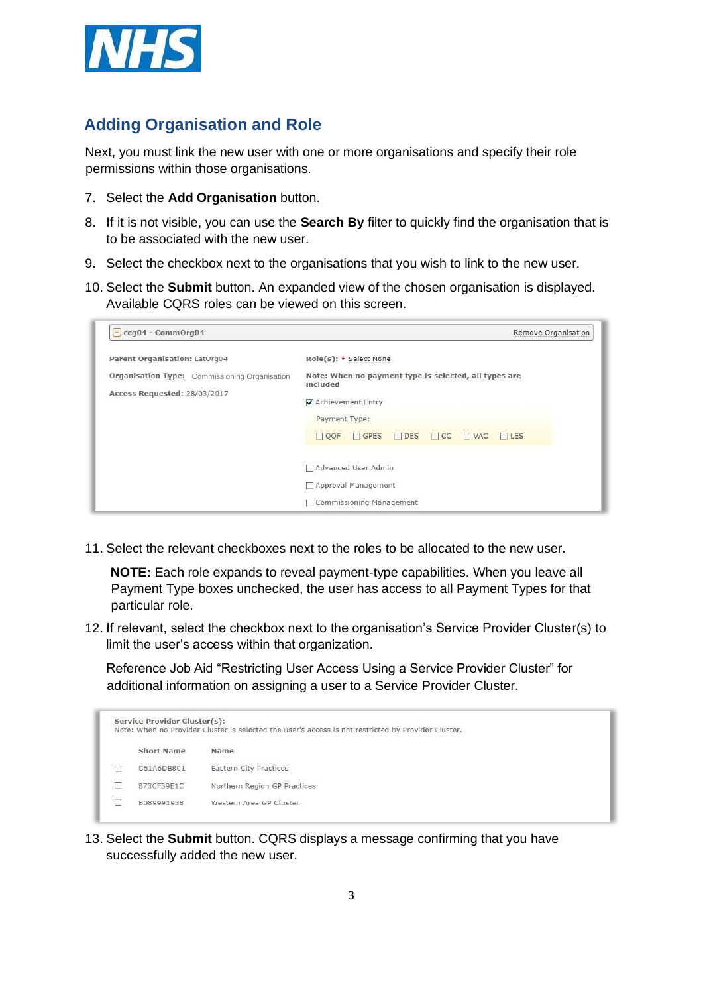

# **Adding Organisation and Role**

Next, you must link the new user with one or more organisations and specify their role permissions within those organisations.

- 7. Select the **Add Organisation** button.
- 8. If it is not visible, you can use the **Search By** filter to quickly find the organisation that is to be associated with the new user.
- 9. Select the checkbox next to the organisations that you wish to link to the new user.
- 10. Select the **Submit** button. An expanded view of the chosen organisation is displayed. Available CQRS roles can be viewed on this screen.

| ccq04 - CommOrg04<br>$\overline{\phantom{a}}$        | Remove Organisation                                               |  |  |  |  |
|------------------------------------------------------|-------------------------------------------------------------------|--|--|--|--|
| Parent Organisation: LatOrg04                        | Role(s): * Select None                                            |  |  |  |  |
| <b>Organisation Type:</b> Commissioning Organisation | Note: When no payment type is selected, all types are<br>included |  |  |  |  |
| Access Requested: 28/03/2017                         | Achievement Entry                                                 |  |  |  |  |
|                                                      | Payment Type:                                                     |  |  |  |  |
|                                                      | QOF<br>GPES<br>$\Box$ DES<br>$\Box$ CC<br>$\Box$ VAC<br>$THES$    |  |  |  |  |
|                                                      | Advanced User Admin                                               |  |  |  |  |
|                                                      | □ Approval Management                                             |  |  |  |  |
|                                                      | □ Commissioning Management                                        |  |  |  |  |

11. Select the relevant checkboxes next to the roles to be allocated to the new user.

**NOTE:** Each role expands to reveal payment-type capabilities. When you leave all Payment Type boxes unchecked, the user has access to all Payment Types for that particular role.

12. If relevant, select the checkbox next to the organisation's Service Provider Cluster(s) to limit the user's access within that organization.

Reference Job Aid "Restricting User Access Using a Service Provider Cluster" for additional information on assigning a user to a Service Provider Cluster.

| Service Provider Cluster(s):<br>Note: When no Provider Cluster is selected the user's access is not restricted by Provider Cluster. |                              |  |  |  |  |
|-------------------------------------------------------------------------------------------------------------------------------------|------------------------------|--|--|--|--|
| Short Name                                                                                                                          | Name                         |  |  |  |  |
| C61A6DB801                                                                                                                          | Eastern City Practices       |  |  |  |  |
| 873CF39F1C                                                                                                                          | Northern Region GP Practices |  |  |  |  |
| B089991938                                                                                                                          | Western Area GP Cluster      |  |  |  |  |

13. Select the **Submit** button. CQRS displays a message confirming that you have successfully added the new user.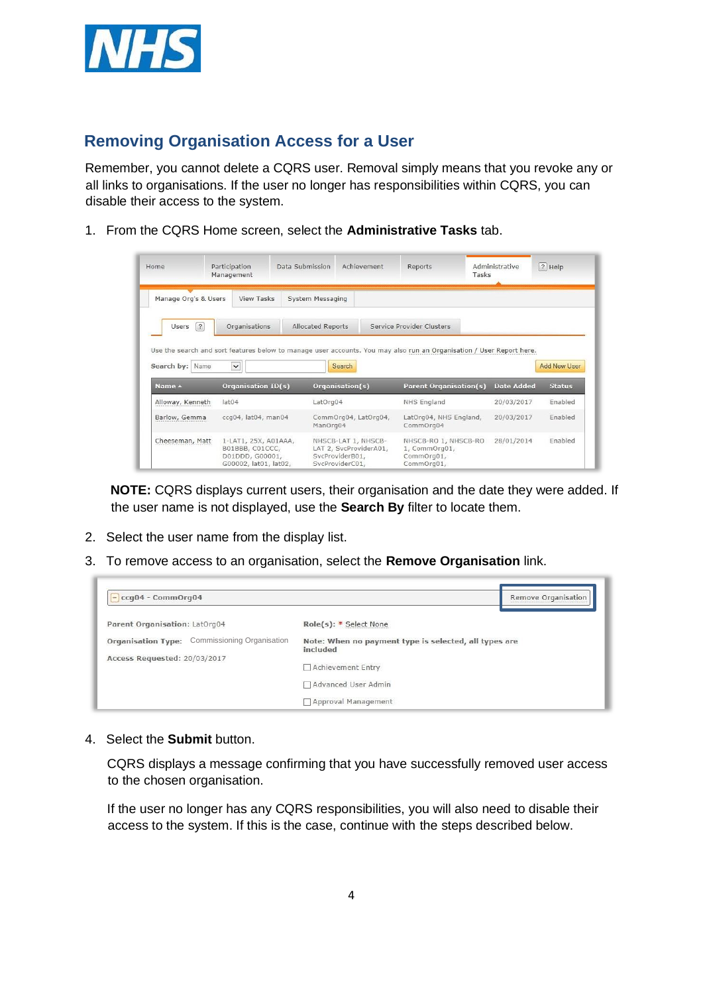

### **Removing Organisation Access for a User**

Remember, you cannot delete a CQRS user. Removal simply means that you revoke any or all links to organisations. If the user no longer has responsibilities within CQRS, you can disable their access to the system.

1. From the CQRS Home screen, select the **Administrative Tasks** tab.

| Home                                                      | Participation<br>Management | Data Submission   | Achievement          | Reports                                                                                                              | Administrative<br>Tasks | ? Help              |
|-----------------------------------------------------------|-----------------------------|-------------------|----------------------|----------------------------------------------------------------------------------------------------------------------|-------------------------|---------------------|
| Manage Org's & Users                                      | <b>View Tasks</b>           | System Messaging  |                      |                                                                                                                      |                         |                     |
| $\sqrt{2}$<br>Users                                       | Organisations               | Allocated Reports |                      | Service Provider Clusters                                                                                            |                         |                     |
|                                                           |                             |                   |                      |                                                                                                                      |                         |                     |
| Name                                                      | $\checkmark$                |                   | Search               | Use the search and sort features below to manage user accounts. You may also run an Organisation / User Report here. |                         | <b>Add New User</b> |
|                                                           | <b>Organisation ID(s)</b>   |                   | Organisation(s)      | <b>Parent Organisation(s)</b>                                                                                        | <b>Date Added</b>       | <b>Status</b>       |
|                                                           | lat <sub>04</sub>           | LatOrg04          |                      | NHS England                                                                                                          | 20/03/2017              | Enabled             |
| Search by:<br>Name A<br>Alloway, Kenneth<br>Barlow, Gemma | ccq04, lat04, man04         | ManOrg04          | CommOrg04, LatOrg04, | LatOrg04, NHS England,<br>CommOrg04                                                                                  | 20/03/2017              | Enabled             |

**NOTE:** CQRS displays current users, their organisation and the date they were added. If the user name is not displayed, use the **Search By** filter to locate them.

- 2. Select the user name from the display list.
- 3. To remove access to an organisation, select the **Remove Organisation** link.

| $\left[-\right]$ ccq04 - CommOrg04                   | Remove Organisation                                               |
|------------------------------------------------------|-------------------------------------------------------------------|
| Parent Organisation: LatOrg04                        | Role(s): * Select None                                            |
| <b>Organisation Type:</b> Commissioning Organisation | Note: When no payment type is selected, all types are<br>included |
| Access Requested: 20/03/2017                         | Achievement Entry                                                 |
|                                                      | Advanced User Admin                                               |
|                                                      | Approval Management                                               |

4. Select the **Submit** button.

CQRS displays a message confirming that you have successfully removed user access to the chosen organisation.

If the user no longer has any CQRS responsibilities, you will also need to disable their access to the system. If this is the case, continue with the steps described below.